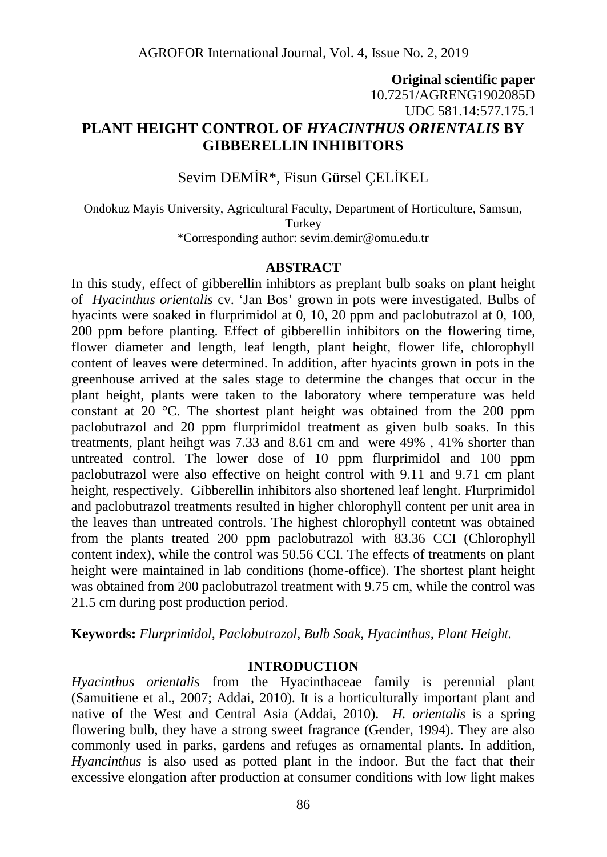### **Original scientific paper** 10.7251/AGRENG1902085D UDC 581.14:577.175.1 **PLANT HEIGHT CONTROL OF** *HYACINTHUS ORIENTALIS* **BY GIBBERELLIN INHIBITORS**

Sevim DEM R<sup>\*</sup>, Fisun Gürsel CEL KEL

Ondokuz Mayis University, Agricultural Faculty, Department of Horticulture, Samsun, **Turkey** \*Corresponding author: sevim.demir@omu.edu.tr

### **ABSTRACT**

In this study, effect of gibberellin inhibtors as preplant bulb soaks on plant height of *Hyacinthus orientalis* cv. 'Jan Bos' grown in pots were investigated. Bulbs of hyacints were soaked in flurprimidol at 0, 10, 20 ppm and paclobutrazol at 0, 100, 200 ppm before planting. Effect of gibberellin inhibitors on the flowering time, flower diameter and length, leaf length, plant height, flower life, chlorophyll content of leaves were determined. In addition, after hyacints grown in pots in the greenhouse arrived at the sales stage to determine the changes that occur in the plant height, plants were taken to the laboratory where temperature was held constant at 20  $\degree$ C. The shortest plant height was obtained from the 200 ppm paclobutrazol and 20 ppm flurprimidol treatment as given bulb soaks. In this treatments, plant heihgt was 7.33 and 8.61 cm and were 49% , 41% shorter than untreated control. The lower dose of 10 ppm flurprimidol and 100 ppm paclobutrazol were also effective on height control with 9.11 and 9.71 cm plant height, respectively. Gibberellin inhibitors also shortened leaf lenght. Flurprimidol and paclobutrazol treatments resulted in higher chlorophyll content per unit area in the leaves than untreated controls. The highest chlorophyll contetnt was obtained from the plants treated 200 ppm paclobutrazol with 83.36 CCI (Chlorophyll content index), while the control was 50.56 CCI. The effects of treatments on plant height were maintained in lab conditions (home-office). The shortest plant height was obtained from 200 paclobutrazol treatment with 9.75 cm, while the control was 21.5 cm during post production period.

**Keywords:** *Flurprimidol, Paclobutrazol, Bulb Soak, Hyacinthus, Plant Height.*

### **INTRODUCTION**

*Hyacinthus orientalis* from the Hyacinthaceae family is perennial plant (Samuitiene et al., 2007; Addai, 2010). It is a horticulturally important plant and native of the West and Central Asia (Addai, 2010). *H. orientalis* is a spring flowering bulb, they have a strong sweet fragrance (Gender, 1994). They are also commonly used in parks, gardens and refuges as ornamental plants. In addition, *Hyancinthus* is also used as potted plant in the indoor. But the fact that their excessive elongation after production at consumer conditions with low light makes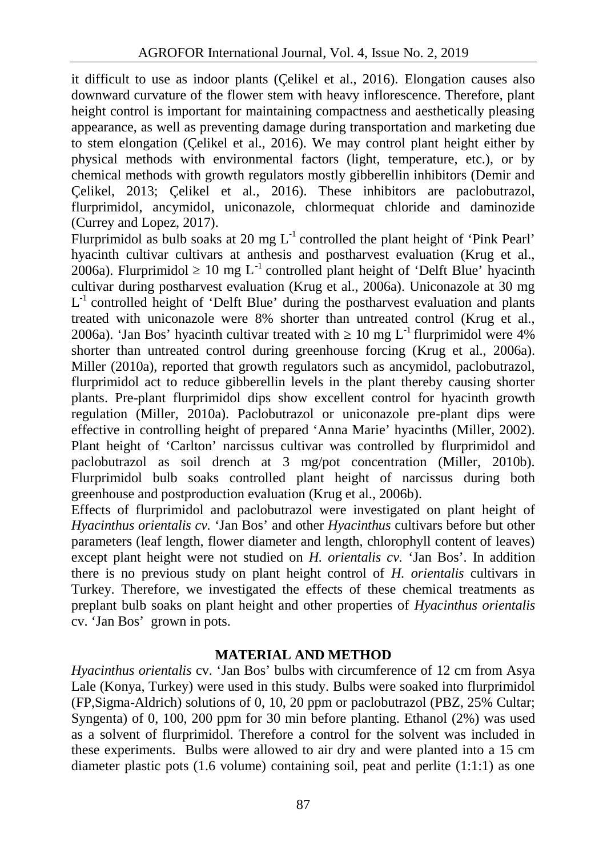it difficult to use as indoor plants (Çelikel et al., 2016). Elongation causes also downward curvature of the flower stem with heavy inflorescence. Therefore, plant height control is important for maintaining compactness and aesthetically pleasing appearance, as well as preventing damage during transportation and marketing due to stem elongation (Çelikel et al., 2016). We may control plant height either by physical methods with environmental factors (light, temperature, etc.), or by chemical methods with growth regulators mostly gibberellin inhibitors (Demir and Çelikel, 2013; Çelikel et al., 2016). These inhibitors are paclobutrazol, flurprimidol, ancymidol, uniconazole, chlormequat chloride and daminozide (Currey and Lopez, 2017).

Flurprimidol as bulb soaks at 20 mg  $L^{-1}$  controlled the plant height of 'Pink Pearl' hyacinth cultivar cultivars at anthesis and postharvest evaluation (Krug et al., 2006a). Flurprimidol  $10 \text{ mg } L^{-1}$  controlled plant height of 'Delft Blue' hyacinth cultivar during postharvest evaluation (Krug et al., 2006a). Uniconazole at 30 mg L<sup>-1</sup> controlled height of 'Delft Blue' during the postharvest evaluation and plants treated with uniconazole were 8% shorter than untreated control (Krug et al., 2006a). 'Jan Bos' hyacinth cultivar treated with  $\frac{10 \text{ mg } L^{-1}}{2006 \text{ a}}$  were 4% shorter than untreated control during greenhouse forcing (Krug et al., 2006a). Miller (2010a), reported that growth regulators such as ancymidol, paclobutrazol, flurprimidol act to reduce gibberellin levels in the plant thereby causing shorter plants. Pre-plant flurprimidol dips show excellent control for hyacinth growth regulation (Miller, 2010a). Paclobutrazol or uniconazole pre-plant dips were effective in controlling height of prepared 'Anna Marie' hyacinths (Miller, 2002). Plant height of 'Carlton' narcissus cultivar was controlled by flurprimidol and paclobutrazol as soil drench at 3 mg/pot concentration (Miller, 2010b). Flurprimidol bulb soaks controlled plant height of narcissus during both greenhouse and postproduction evaluation (Krug et al., 2006b).

Effects of flurprimidol and paclobutrazol were investigated on plant height of *Hyacinthus orientalis cv.* 'Jan Bos' and other *Hyacinthus* cultivars before but other parameters (leaf length, flower diameter and length, chlorophyll content of leaves) except plant height were not studied on *H. orientalis cv.* 'Jan Bos'. In addition there is no previous study on plant height control of *H. orientalis* cultivars in Turkey. Therefore, we investigated the effects of these chemical treatments as preplant bulb soaks on plant height and other properties of *Hyacinthus orientalis* cv. 'Jan Bos' grown in pots.

# **MATERIAL AND METHOD**

*Hyacinthus orientalis* cv. 'Jan Bos' bulbs with circumference of 12 cm from Asya Lale (Konya, Turkey) were used in this study. Bulbs were soaked into flurprimidol (FP,Sigma-Aldrich) solutions of 0, 10, 20 ppm or paclobutrazol (PBZ, 25% Cultar; Syngenta) of 0, 100, 200 ppm for 30 min before planting. Ethanol (2%) was used as a solvent of flurprimidol. Therefore a control for the solvent was included in these experiments. Bulbs were allowed to air dry and were planted into a 15 cm diameter plastic pots (1.6 volume) containing soil, peat and perlite (1:1:1) as one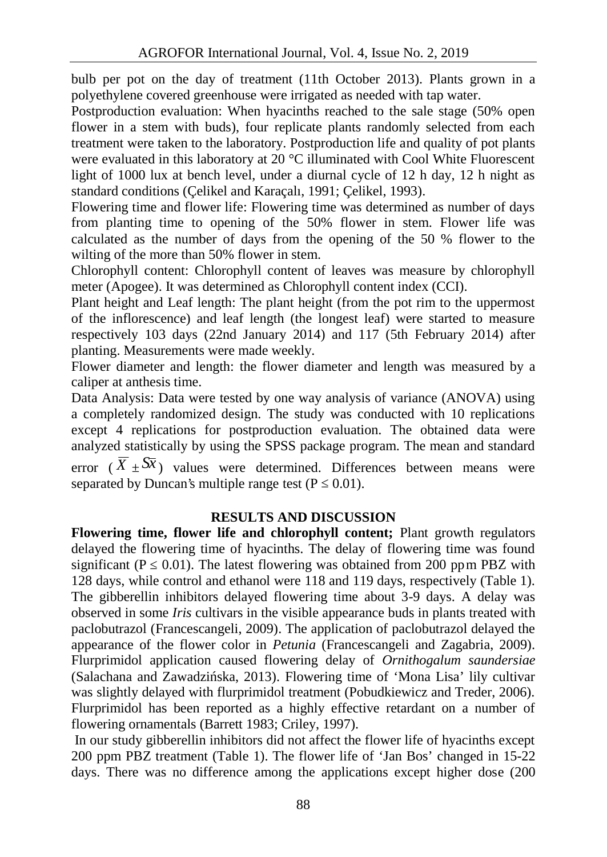bulb per pot on the day of treatment (11th October 2013). Plants grown in a polyethylene covered greenhouse were irrigated as needed with tap water.

Postproduction evaluation: When hyacinths reached to the sale stage (50% open flower in a stem with buds), four replicate plants randomly selected from each treatment were taken to the laboratory. Postproduction life and quality of pot plants were evaluated in this laboratory at 20 °C illuminated with Cool White Fluorescent light of 1000 lux at bench level, under a diurnal cycle of 12 h day, 12 h night as standard conditions (Çelikel and Karaçalı, 1991; Çelikel, 1993).

Flowering time and flower life: Flowering time was determined as number of days from planting time to opening of the 50% flower in stem. Flower life was calculated as the number of days from the opening of the 50 % flower to the wilting of the more than 50% flower in stem.

Chlorophyll content: Chlorophyll content of leaves was measure by chlorophyll meter (Apogee). It was determined as Chlorophyll content index (CCI).

Plant height and Leaf length: The plant height (from the pot rim to the uppermost of the inflorescence) and leaf length (the longest leaf) were started to measure respectively 103 days (22nd January 2014) and 117 (5th February 2014) after planting. Measurements were made weekly.

Flower diameter and length: the flower diameter and length was measured by a caliper at anthesis time.

Data Analysis: Data were tested by one way analysis of variance (ANOVA) using a completely randomized design. The study was conducted with 10 replications except 4 replications for postproduction evaluation. The obtained data were analyzed statistically by using the SPSS package program. The mean and standard error ( $\overline{X}$   $\pm$   $\overline{X}$ ) values were determined. Differences between means were separated by Duncan's multiple range test  $(P \t 0.01)$ .

# **RESULTS AND DISCUSSION**

**Flowering time, flower life and chlorophyll content;** Plant growth regulators delayed the flowering time of hyacinths. The delay of flowering time was found significant (P  $(0.01)$ ). The latest flowering was obtained from 200 ppm PBZ with 128 days, while control and ethanol were 118 and 119 days, respectively (Table 1). The gibberellin inhibitors delayed flowering time about 3-9 days. A delay was observed in some *Iris* cultivars in the visible appearance buds in plants treated with paclobutrazol (Francescangeli, 2009). The application of paclobutrazol delayed the appearance of the flower color in *Petunia* (Francescangeli and Zagabria, 2009). Flurprimidol application caused flowering delay of *Ornithogalum saundersiae* (Salachana and Zawadzi ska, 2013). Flowering time of 'Mona Lisa' lily cultivar was slightly delayed with flurprimidol treatment (Pobudkiewicz and Treder, 2006). Flurprimidol has been reported as a highly effective retardant on a number of flowering ornamentals (Barrett 1983; Criley, 1997).

In our study gibberellin inhibitors did not affect the flower life of hyacinths except 200 ppm PBZ treatment (Table 1). The flower life of 'Jan Bos' changed in 15-22 days. There was no difference among the applications except higher dose (200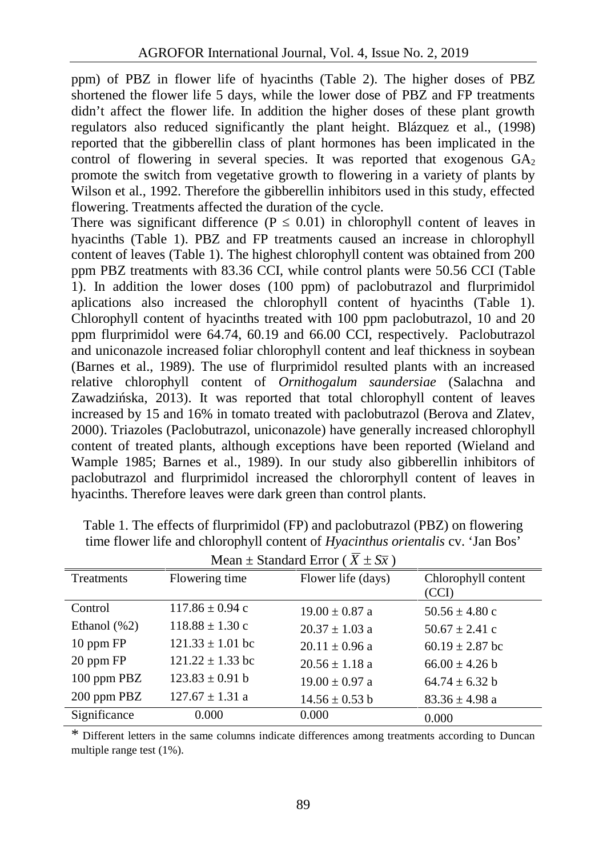ppm) of PBZ in flower life of hyacinths (Table 2). The higher doses of PBZ shortened the flower life 5 days, while the lower dose of PBZ and FP treatments didn't affect the flower life. In addition the higher doses of these plant growth regulators also reduced significantly the plant height. Blázquez et al., (1998) reported that the gibberellin class of plant hormones has been implicated in the control of flowering in several species. It was reported that exogenous  $GA<sub>2</sub>$ promote the switch from vegetative growth to flowering in a variety of plants by Wilson et al., 1992. Therefore the gibberellin inhibitors used in this study, effected flowering. Treatments affected the duration of the cycle.

There was significant difference  $(P \t 0.01)$  in chlorophyll content of leaves in hyacinths (Table 1). PBZ and FP treatments caused an increase in chlorophyll content of leaves (Table 1). The highest chlorophyll content was obtained from 200 ppm PBZ treatments with 83.36 CCI, while control plants were 50.56 CCI (Table 1). In addition the lower doses (100 ppm) of paclobutrazol and flurprimidol aplications also increased the chlorophyll content of hyacinths (Table 1). Chlorophyll content of hyacinths treated with 100 ppm paclobutrazol, 10 and 20 ppm flurprimidol were 64.74, 60.19 and 66.00 CCI, respectively. Paclobutrazol and uniconazole increased foliar chlorophyll content and leaf thickness in soybean (Barnes et al., 1989). The use of flurprimidol resulted plants with an increased relative chlorophyll content of *Ornithogalum saundersiae* (Salachna and Zawadzi ska, 2013). It was reported that total chlorophyll content of leaves increased by 15 and 16% in tomato treated with paclobutrazol (Berova and Zlatev, 2000). Triazoles (Paclobutrazol, uniconazole) have generally increased chlorophyll content of treated plants, although exceptions have been reported (Wieland and Wample 1985; Barnes et al., 1989). In our study also gibberellin inhibitors of paclobutrazol and flurprimidol increased the chlororphyll content of leaves in hyacinths. Therefore leaves were dark green than control plants.

| Treatments       | Flowering time       | Flower life (days) | Chlorophyll content<br>(CCI) |
|------------------|----------------------|--------------------|------------------------------|
| Control          | $117.86 \pm 0.94$ c  | $19.00 \pm 0.87$ a | $50.56 \pm 4.80$ c           |
| Ethanol $(\% 2)$ | $118.88 \pm 1.30$ c  | $20.37 \pm 1.03$ a | $50.67 \pm 2.41$ c           |
| 10 ppm FP        | $121.33 \pm 1.01$ bc | $20.11 \pm 0.96$ a | $60.19 \pm 2.87$ bc          |
| 20 ppm FP        | $121.22 \pm 1.33$ bc | $20.56 \pm 1.18$ a | $66.00 + 4.26$ b             |
| 100 ppm PBZ      | $123.83 \pm 0.91$ b  | $19.00 \pm 0.97$ a | $64.74 + 6.32$ b             |
| 200 ppm PBZ      | $127.67 \pm 1.31$ a  | $14.56 \pm 0.53$ b | $83.36 \pm 4.98$ a           |
| Significance     | 0.000                | 0.000              | 0.000                        |

Table 1. The effects of flurprimidol (FP) and paclobutrazol (PBZ) on flowering time flower life and chlorophyll content of *Hyacinthus orientalis* cv. 'Jan Bos' Mean + Standard Error ( $\overline{X}$  +  $S_{\overline{X}}$ )

\* Different letters in the same columns indicate differences among treatments according to Duncan multiple range test (1%).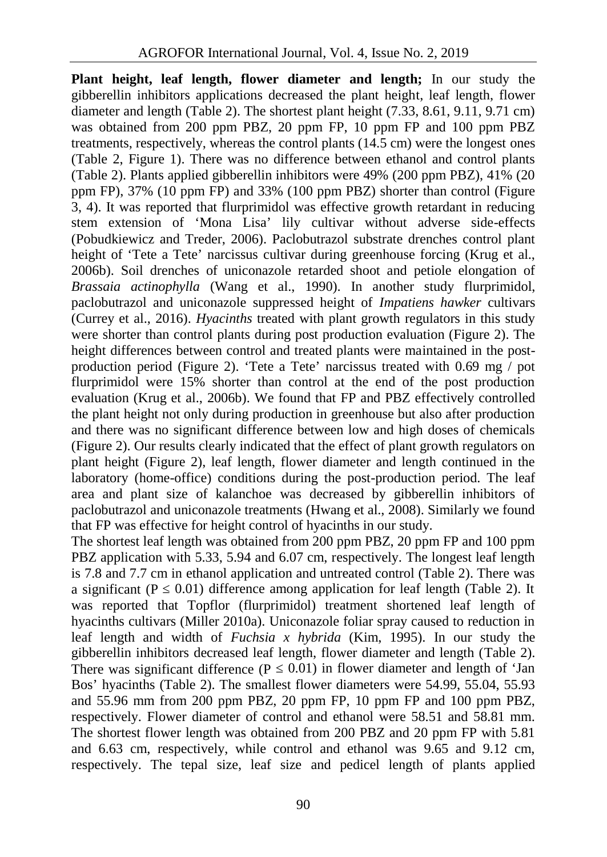**Plant height, leaf length, flower diameter and length;** In our study the gibberellin inhibitors applications decreased the plant height, leaf length, flower diameter and length (Table 2). The shortest plant height (7.33, 8.61, 9.11, 9.71 cm) was obtained from 200 ppm PBZ, 20 ppm FP, 10 ppm FP and 100 ppm PBZ treatments, respectively, whereas the control plants  $(14.5 \text{ cm})$  were the longest ones (Table 2, Figure 1). There was no difference between ethanol and control plants (Table 2). Plants applied gibberellin inhibitors were 49% (200 ppm PBZ), 41% (20 ppm FP), 37% (10 ppm FP) and 33% (100 ppm PBZ) shorter than control (Figure 3, 4). It was reported that flurprimidol was effective growth retardant in reducing stem extension of 'Mona Lisa' lily cultivar without adverse side-effects (Pobudkiewicz and Treder, 2006). Paclobutrazol substrate drenches control plant height of 'Tete a Tete' narcissus cultivar during greenhouse forcing (Krug et al., 2006b). Soil drenches of uniconazole retarded shoot and petiole elongation of *Brassaia actinophylla* (Wang et al., 1990). In another study flurprimidol, paclobutrazol and uniconazole suppressed height of *Impatiens hawker* cultivars (Currey et al., 2016). *Hyacinths* treated with plant growth regulators in this study were shorter than control plants during post production evaluation (Figure 2). The height differences between control and treated plants were maintained in the post production period (Figure 2). 'Tete a Tete' narcissus treated with 0.69 mg / pot flurprimidol were 15% shorter than control at the end of the post production evaluation (Krug et al., 2006b). We found that FP and PBZ effectively controlled the plant height not only during production in greenhouse but also after production and there was no significant difference between low and high doses of chemicals (Figure 2). Our results clearly indicated that the effect of plant growth regulators on plant height (Figure 2), leaf length, flower diameter and length continued in the laboratory (home-office) conditions during the post-production period. The leaf area and plant size of kalanchoe was decreased by gibberellin inhibitors of paclobutrazol and uniconazole treatments (Hwang et al., 2008). Similarly we found that FP was effective for height control of hyacinths in our study.

The shortest leaf length was obtained from 200 ppm PBZ, 20 ppm FP and 100 ppm PBZ application with 5.33, 5.94 and 6.07 cm, respectively. The longest leaf length is 7.8 and 7.7 cm in ethanol application and untreated control (Table 2). There was a significant  $(P \t 0.01)$  difference among application for leaf length (Table 2). It was reported that Topflor (flurprimidol) treatment shortened leaf length of hyacinths cultivars (Miller 2010a). Uniconazole foliar spray caused to reduction in leaf length and width of *Fuchsia x hybrida* (Kim, 1995). In our study the gibberellin inhibitors decreased leaf length, flower diameter and length (Table 2). There was significant difference  $(P \t 0.01)$  in flower diameter and length of 'Jan Bos' hyacinths (Table 2). The smallest flower diameters were 54.99, 55.04, 55.93 and 55.96 mm from 200 ppm PBZ, 20 ppm FP, 10 ppm FP and 100 ppm PBZ, respectively. Flower diameter of control and ethanol were 58.51 and 58.81 mm. The shortest flower length was obtained from 200 PBZ and 20 ppm FP with 5.81 and 6.63 cm, respectively, while control and ethanol was 9.65 and 9.12 cm, respectively. The tepal size, leaf size and pedicel length of plants applied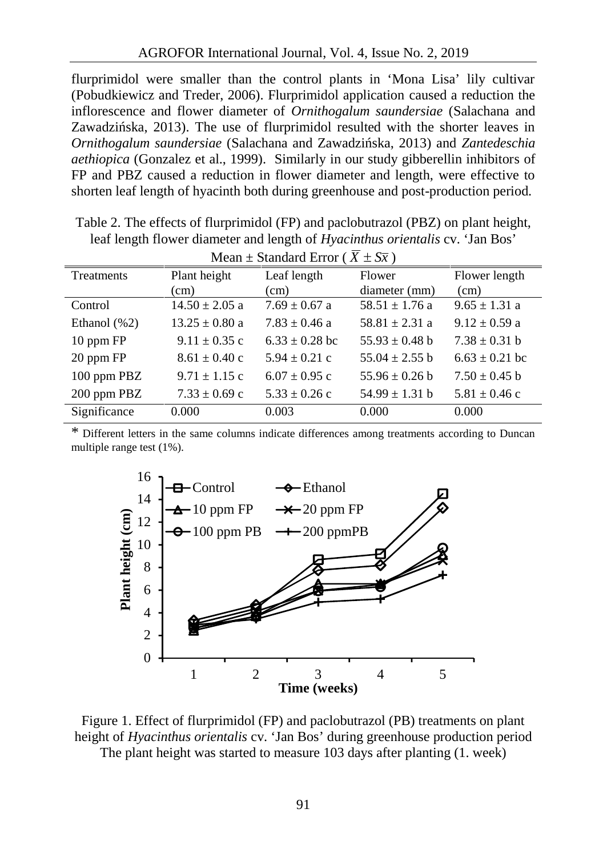flurprimidol were smaller than the control plants in 'Mona Lisa' lily cultivar (Pobudkiewicz and Treder, 2006). Flurprimidol application caused a reduction the inflorescence and flower diameter of *Ornithogalum saundersiae* (Salachana and Zawadzi ska, 2013). The use of flurprimidol resulted with the shorter leaves in *Ornithogalum saundersiae* (Salachana and Zawadzińska, 2013) and *Zantedeschia aethiopica* (Gonzalez et al., 1999). Similarly in our study gibberellin inhibitors of FP and PBZ caused a reduction in flower diameter and length, were effective to shorten leaf length of hyacinth both during greenhouse and post-production period.

| Mean $\pm$ Standard Error ( $X \pm S\overline{x}$ ) |                    |                    |                    |                    |  |  |
|-----------------------------------------------------|--------------------|--------------------|--------------------|--------------------|--|--|
| Treatments                                          | Plant height       | Leaf length        | Flower             | Flower length      |  |  |
|                                                     | (cm)               | (cm)               | diameter (mm)      | (cm)               |  |  |
| Control                                             | $14.50 \pm 2.05$ a | $7.69 \pm 0.67$ a  | $58.51 \pm 1.76$ a | $9.65 \pm 1.31$ a  |  |  |
| Ethanol $(\% 2)$                                    | $13.25 \pm 0.80$ a | $7.83 \pm 0.46$ a  | $58.81 \pm 2.31$ a | $9.12 \pm 0.59$ a  |  |  |
| 10 ppm FP                                           | $9.11 \pm 0.35$ c  | $6.33 \pm 0.28$ bc | $55.93 \pm 0.48$ b | $7.38 \pm 0.31$ b  |  |  |
| 20 ppm FP                                           | $8.61 \pm 0.40$ c  | $5.94 \pm 0.21$ c  | $55.04 \pm 2.55$ b | $6.63 \pm 0.21$ bc |  |  |
| 100 ppm PBZ                                         | $9.71 \pm 1.15$ c  | $6.07 \pm 0.95$ c  | $55.96 \pm 0.26$ b | $7.50 \pm 0.45$ b  |  |  |
| 200 ppm PBZ                                         | $7.33 \pm 0.69$ c  | $5.33 \pm 0.26$ c  | $54.99 \pm 1.31$ b | $5.81 \pm 0.46$ c  |  |  |
| Significance                                        | 0.000              | 0.003              | 0.000              | 0.000              |  |  |

Table 2. The effects of flurprimidol (FP) and paclobutrazol (PBZ) on plant height, leaf length flower diameter and length of *Hyacinthus orientalis* cv. 'Jan Bos'

\* Different letters in the same columns indicate differences among treatments according to Duncan multiple range test (1%).



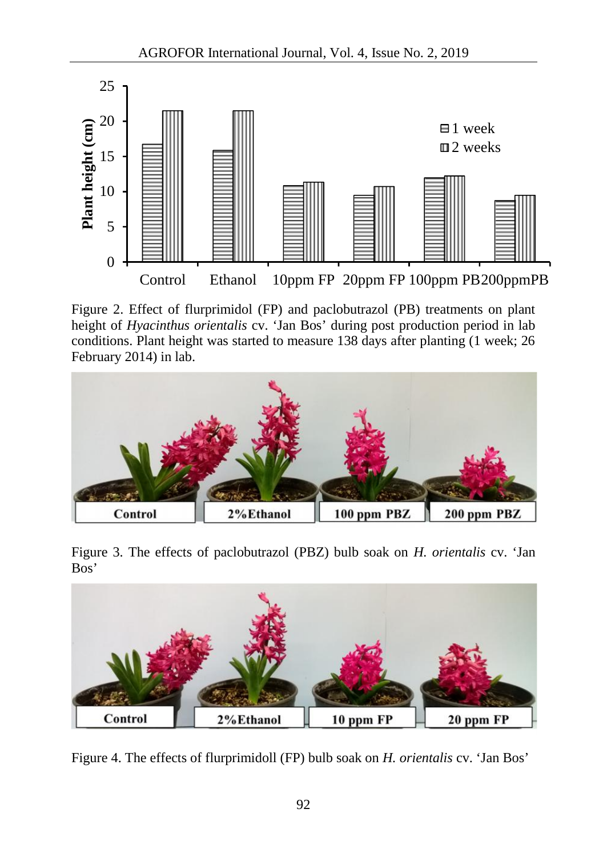

Figure 2. Effect of flurprimidol (FP) and paclobutrazol (PB) treatments on plant height of *Hyacinthus orientalis* cv. 'Jan Bos' during post production period in lab conditions. Plant height was started to measure 138 days after planting (1 week; 26 February 2014) in lab.



Figure 3. The effects of paclobutrazol (PBZ) bulb soak on *H. orientalis* cv. 'Jan Bos'



Figure 4. The effects of flurprimidoll (FP) bulb soak on *H. orientalis* cv. 'Jan Bos'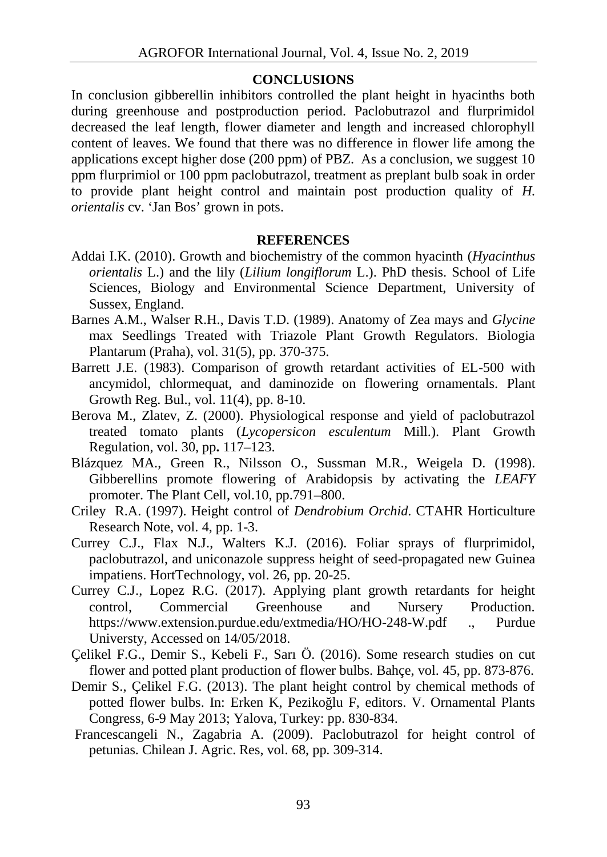#### **CONCLUSIONS**

In conclusion gibberellin inhibitors controlled the plant height in hyacinths both during greenhouse and postproduction period. Paclobutrazol and flurprimidol decreased the leaf length, flower diameter and length and increased chlorophyll content of leaves. We found that there was no difference in flower life among the applications except higher dose (200 ppm) of PBZ. As a conclusion, we suggest 10 ppm flurprimiol or 100 ppm paclobutrazol, treatment as preplant bulb soak in order to provide plant height control and maintain post production quality of *H. orientalis* cv. 'Jan Bos' grown in pots.

#### **REFERENCES**

- Addai I.K. (2010). Growth and biochemistry of the common hyacinth (*Hyacinthus orientalis* L.) and the lily (*Lilium longiflorum* L.). PhD thesis. School of Life Sciences, Biology and Environmental Science Department, University of Sussex, England.
- Barnes A.M., Walser R.H., Davis T.D. (1989). Anatomy of Zea mays and *Glycine* max Seedlings Treated with Triazole Plant Growth Regulators. Biologia Plantarum (Praha), vol. 31(5), pp. 370-375.
- Barrett J.E. (1983). Comparison of growth retardant activities of EL-500 with ancymidol, chlormequat, and daminozide on flowering ornamentals. Plant Growth Reg. Bul., vol. 11(4), pp. 8-10.
- Berova M., Zlatev, Z. (2000). Physiological response and yield of paclobutrazol treated tomato plants (*Lycopersicon esculentum* Mill.). Plant Growth Regulation, vol. 30, pp**.** 117–123.
- Blázquez MA., Green R., Nilsson O., Sussman M.R., Weigela D. (1998). Gibberellins promote flowering of Arabidopsis by activating the *LEAFY* promoter. The Plant Cell, vol.10, pp.791–800.
- Criley R.A. (1997). Height control of *Dendrobium Orchid*. CTAHR Horticulture Research Note, vol. 4, pp. 1-3.
- Currey C.J., Flax N.J., Walters K.J. (2016). Foliar sprays of flurprimidol, paclobutrazol, and uniconazole suppress height of seed-propagated new Guinea impatiens. HortTechnology, vol. 26, pp. 20-25.
- Currey C.J., Lopez R.G. (2017). Applying plant growth retardants for height control, Commercial Greenhouse and Nursery Production. https://www.extension.purdue.edu/extmedia/HO/HO-248-W.pdf ., Purdue Universty, Accessed on 14/05/2018.
- Çelikel F.G., Demir S., Kebeli F., Sarı Ö. (2016). Some research studies on cut flower and potted plant production of flower bulbs. Bahçe, vol. 45, pp. 873-876.
- Demir S., Çelikel F.G. (2013). The plant height control by chemical methods of potted flower bulbs. In: Erken K, Peziko lu F, editors. V. Ornamental Plants Congress, 6-9 May 2013; Yalova, Turkey: pp. 830-834.
- Francescangeli N., Zagabria A. (2009). Paclobutrazol for height control of petunias. Chilean J. Agric. Res, vol. 68, pp. 309-314.